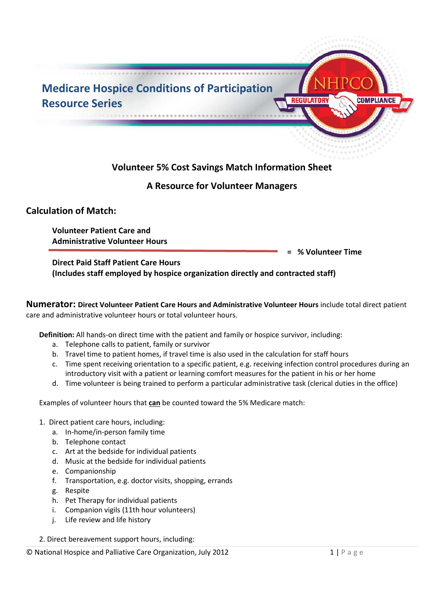

## **A Resource for Volunteer Managers**

## **Calculation of Match:**

**Volunteer Patient Care and Administrative Volunteer Hours** 

**= % Volunteer Time** 

## **Direct Paid Staff Patient Care Hours (Includes staff employed by hospice organization directly and contracted staff)**

**Numerator: Direct Volunteer Patient Care Hours and Administrative Volunteer Hours** include total direct patient care and administrative volunteer hours or total volunteer hours.

**Definition:** All hands-on direct time with the patient and family or hospice survivor, including:

- a. Telephone calls to patient, family or survivor
- b. Travel time to patient homes, if travel time is also used in the calculation for staff hours
- c. Time spent receiving orientation to a specific patient, e.g. receiving infection control procedures during an introductory visit with a patient or learning comfort measures for the patient in his or her home
- d. Time volunteer is being trained to perform a particular administrative task (clerical duties in the office)

Examples of volunteer hours that **can** be counted toward the 5% Medicare match:

- 1. Direct patient care hours, including:
	- a. In-home/in-person family time
	- b. Telephone contact
	- c. Art at the bedside for individual patients
	- d. Music at the bedside for individual patients
	- e. Companionship
	- f. Transportation, e.g. doctor visits, shopping, errands
	- g. Respite
	- h. Pet Therapy for individual patients
	- i. Companion vigils (11th hour volunteers)
	- j. Life review and life history
- 2. Direct bereavement support hours, including: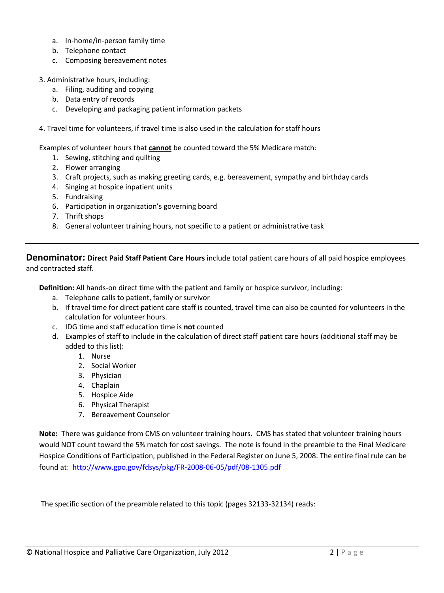- a. In-home/in-person family time
- b. Telephone contact
- c. Composing bereavement notes
- 3. Administrative hours, including:
	- a. Filing, auditing and copying
	- b. Data entry of records
	- c. Developing and packaging patient information packets
- 4. Travel time for volunteers, if travel time is also used in the calculation for staff hours

Examples of volunteer hours that **cannot** be counted toward the 5% Medicare match:

- 1. Sewing, stitching and quilting
- 2. Flower arranging
- 3. Craft projects, such as making greeting cards, e.g. bereavement, sympathy and birthday cards
- 4. Singing at hospice inpatient units
- 5. Fundraising
- 6. Participation in organization's governing board
- 7. Thrift shops
- 8. General volunteer training hours, not specific to a patient or administrative task

**Denominator: Direct Paid Staff Patient Care Hours** include total patient care hours of all paid hospice employees and contracted staff.

**Definition:** All hands-on direct time with the patient and family or hospice survivor, including:

- a. Telephone calls to patient, family or survivor
- b. If travel time for direct patient care staff is counted, travel time can also be counted for volunteers in the calculation for volunteer hours.
- c. IDG time and staff education time is **not** counted
- d. Examples of staff to include in the calculation of direct staff patient care hours (additional staff may be added to this list):
	- 1. Nurse
	- 2. Social Worker
	- 3. Physician
	- 4. Chaplain
	- 5. Hospice Aide
	- 6. Physical Therapist
	- 7. Bereavement Counselor

**Note:** There was guidance from CMS on volunteer training hours. CMS has stated that volunteer training hours would NOT count toward the 5% match for cost savings. The note is found in the preamble to the Final Medicare Hospice Conditions of Participation, published in the Federal Register on June 5, 2008. The entire final rule can be found at: <http://www.gpo.gov/fdsys/pkg/FR-2008-06-05/pdf/08-1305.pdf>

The specific section of the preamble related to this topic (pages 32133-32134) reads: